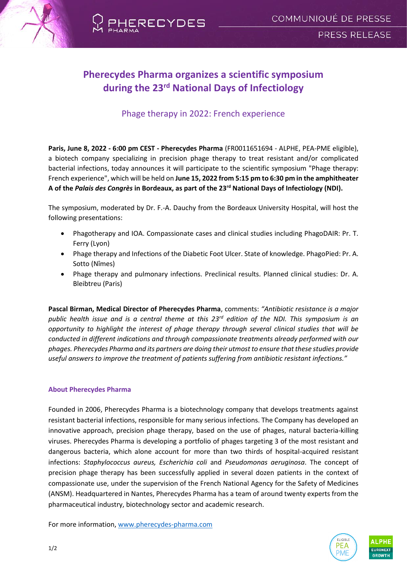

# **Pherecydes Pharma organizes a scientific symposium during the 23rd National Days of Infectiology**

## Phage therapy in 2022: French experience

**Paris, June 8, 2022 - 6:00 pm CEST - Pherecydes Pharma** (FR0011651694 - ALPHE, PEA-PME eligible), a biotech company specializing in precision phage therapy to treat resistant and/or complicated bacterial infections, today announces it will participate to the scientific symposium "Phage therapy: French experience", which will be held on **June 15, 2022 from 5:15 pm to 6:30 pm in the amphitheater A of the** *Palais des Congrès* **in Bordeaux, as part of the 23rd National Days of Infectiology (NDI).** 

The symposium, moderated by Dr. F.-A. Dauchy from the Bordeaux University Hospital, will host the following presentations:

- Phagotherapy and IOA. Compassionate cases and clinical studies including PhagoDAIR: Pr. T. Ferry (Lyon)
- Phage therapy and Infections of the Diabetic Foot Ulcer. State of knowledge. PhagoPied: Pr. A. Sotto (Nîmes)
- Phage therapy and pulmonary infections. Preclinical results. Planned clinical studies: Dr. A. Bleibtreu (Paris)

**Pascal Birman, Medical Director of Pherecydes Pharma**, comments: *"Antibiotic resistance is a major public health issue and is a central theme at this 23rd edition of the NDI. This symposium is an opportunity to highlight the interest of phage therapy through several clinical studies that will be conducted in different indications and through compassionate treatments already performed with our phages. Pherecydes Pharma and its partners are doing their utmost to ensure that these studies provide useful answers to improve the treatment of patients suffering from antibiotic resistant infections."*

#### **About Pherecydes Pharma**

Founded in 2006, Pherecydes Pharma is a biotechnology company that develops treatments against resistant bacterial infections, responsible for many serious infections. The Company has developed an innovative approach, precision phage therapy, based on the use of phages, natural bacteria-killing viruses. Pherecydes Pharma is developing a portfolio of phages targeting 3 of the most resistant and dangerous bacteria, which alone account for more than two thirds of hospital-acquired resistant infections: *Staphylococcus aureus, Escherichia coli* and *Pseudomonas aeruginosa*. The concept of precision phage therapy has been successfully applied in several dozen patients in the context of compassionate use, under the supervision of the French National Agency for the Safety of Medicines (ANSM). Headquartered in Nantes, Pherecydes Pharma has a team of around twenty experts from the pharmaceutical industry, biotechnology sector and academic research.

For more information, [www.pherecydes-pharma.com](file:///C:/Users/Newcap/AppData/Local/Microsoft/Windows/INetCache/Content.Outlook/VSUEWB7P/www.pherecydes-pharma.com)